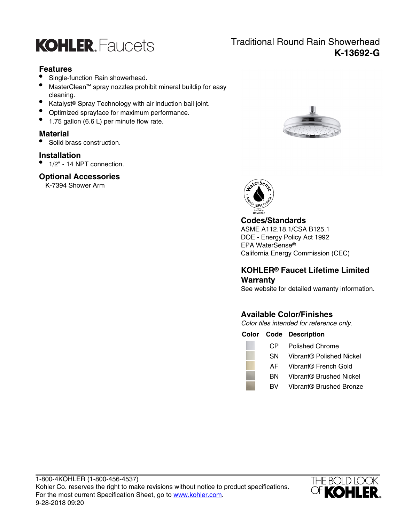

# **Features**

- Single-function Rain showerhead.
- MasterClean™ spray nozzles prohibit mineral buildip for easy cleaning.
- Katalyst® Spray Technology with air induction ball joint.
- Optimized sprayface for maximum performance.
- 1.75 gallon (6.6 L) per minute flow rate.

# **Material**

• Solid brass construction.

### **Installation**

• 1/2" - 14 NPT connection.

### **Optional Accessories**

K-7394 Shower Arm





### **Codes/Standards**

ASME A112.18.1/CSA B125.1 DOE - Energy Policy Act 1992 EPA WaterSense® California Energy Commission (CEC)

# **KOHLER® Faucet Lifetime Limited Warranty**

See website for detailed warranty information.

# **Available Color/Finishes**

Color tiles intended for reference only.

**Color Code Description**

- CP Polished Chrome
- SN Vibrant® Polished Nickel
- AF Vibrant® French Gold
- BN Vibrant® Brushed Nickel
- BV Vibrant® Brushed Bronze



# Traditional Round Rain Showerhead **K-13692-G**